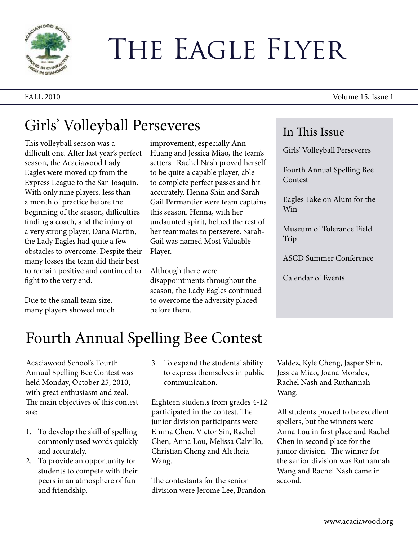

# The Eagle Flyer

FALL 2010 Volume 15, Issue 1

#### Girls' Volleyball Perseveres

This volleyball season was a difficult one. After last year's perfect season, the Acaciawood Lady Eagles were moved up from the Express League to the San Joaquin. With only nine players, less than a month of practice before the beginning of the season, difficulties finding a coach, and the injury of a very strong player, Dana Martin, the Lady Eagles had quite a few obstacles to overcome. Despite their many losses the team did their best to remain positive and continued to fight to the very end.

Due to the small team size, many players showed much improvement, especially Ann Huang and Jessica Miao, the team's setters. Rachel Nash proved herself to be quite a capable player, able to complete perfect passes and hit accurately. Henna Shin and Sarah-Gail Permantier were team captains this season. Henna, with her undaunted spirit, helped the rest of her teammates to persevere. Sarah-Gail was named Most Valuable Player.

Although there were disappointments throughout the season, the Lady Eagles continued to overcome the adversity placed before them.

#### In This Issue

Girls' Volleyball Perseveres

Fourth Annual Spelling Bee Contest

Eagles Take on Alum for the Win

Museum of Tolerance Field Trip

ASCD Summer Conference

Calendar of Events

## Fourth Annual Spelling Bee Contest

Acaciawood School's Fourth Annual Spelling Bee Contest was held Monday, October 25, 2010, with great enthusiasm and zeal. The main objectives of this contest are:

- 1. To develop the skill of spelling commonly used words quickly and accurately.
- 2. To provide an opportunity for students to compete with their peers in an atmosphere of fun and friendship.

3. To expand the students' ability to express themselves in public communication.

Eighteen students from grades 4-12 participated in the contest. The junior division participants were Emma Chen, Victor Sin, Rachel Chen, Anna Lou, Melissa Calvillo, Christian Cheng and Aletheia Wang.

The contestants for the senior division were Jerome Lee, Brandon Valdez, Kyle Cheng, Jasper Shin, Jessica Miao, Joana Morales, Rachel Nash and Ruthannah Wang.

All students proved to be excellent spellers, but the winners were Anna Lou in first place and Rachel Chen in second place for the junior division. The winner for the senior division was Ruthannah Wang and Rachel Nash came in second.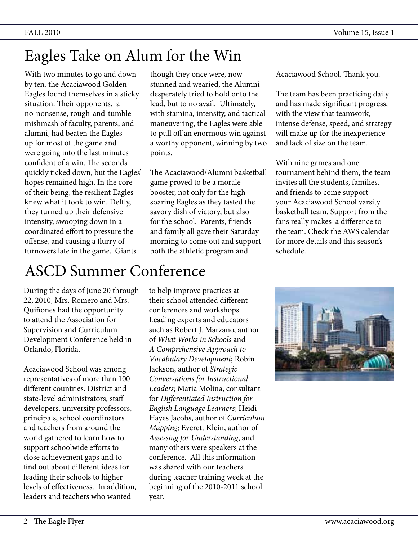### Eagles Take on Alum for the Win

With two minutes to go and down by ten, the Acaciawood Golden Eagles found themselves in a sticky situation. Their opponents, a no-nonsense, rough-and-tumble mishmash of faculty, parents, and alumni, had beaten the Eagles up for most of the game and were going into the last minutes confident of a win. The seconds quickly ticked down, but the Eagles' hopes remained high. In the core of their being, the resilient Eagles knew what it took to win. Deftly, they turned up their defensive intensity, swooping down in a coordinated effort to pressure the offense, and causing a flurry of turnovers late in the game. Giants

though they once were, now stunned and wearied, the Alumni desperately tried to hold onto the lead, but to no avail. Ultimately, with stamina, intensity, and tactical maneuvering, the Eagles were able to pull off an enormous win against a worthy opponent, winning by two points.

The Acaciawood/Alumni basketball game proved to be a morale booster, not only for the highsoaring Eagles as they tasted the savory dish of victory, but also for the school. Parents, friends and family all gave their Saturday morning to come out and support both the athletic program and

Acaciawood School. Thank you.

The team has been practicing daily and has made significant progress, with the view that teamwork, intense defense, speed, and strategy will make up for the inexperience and lack of size on the team.

With nine games and one tournament behind them, the team invites all the students, families, and friends to come support your Acaciawood School varsity basketball team. Support from the fans really makes a difference to the team. Check the AWS calendar for more details and this season's schedule.

# ASCD Summer Conference

During the days of June 20 through 22, 2010, Mrs. Romero and Mrs. Quiñones had the opportunity to attend the Association for Supervision and Curriculum Development Conference held in Orlando, Florida.

Acaciawood School was among representatives of more than 100 different countries. District and state-level administrators, staff developers, university professors, principals, school coordinators and teachers from around the world gathered to learn how to support schoolwide efforts to close achievement gaps and to find out about different ideas for leading their schools to higher levels of effectiveness. In addition, leaders and teachers who wanted

to help improve practices at their school attended different conferences and workshops. Leading experts and educators such as Robert J. Marzano, author of *What Works in Schools* and *A Comprehensive Approach to Vocabulary Development*; Robin Jackson, author of *Strategic Conversations for Instructional Leaders*; Maria Molina, consultant for *Differentiated Instruction for English Language Learners*; Heidi Hayes Jacobs, author of *Curriculum Mapping;* Everett Klein, author of *Assessing for Understanding*, and many others were speakers at the conference. All this information was shared with our teachers during teacher training week at the beginning of the 2010-2011 school year.